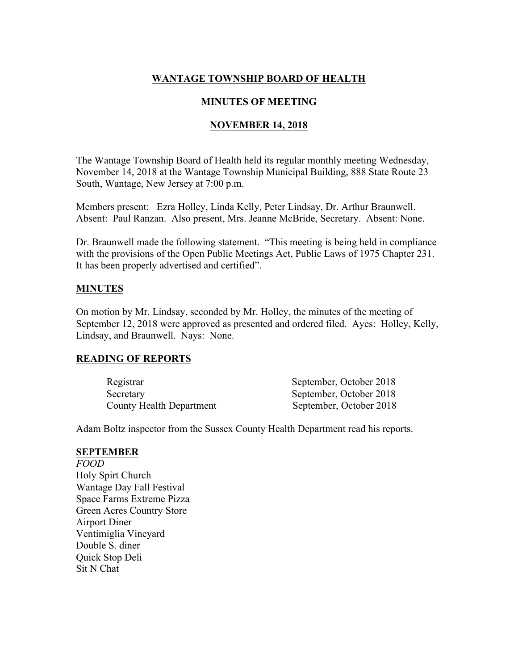## **WANTAGE TOWNSHIP BOARD OF HEALTH**

## **MINUTES OF MEETING**

## **NOVEMBER 14, 2018**

The Wantage Township Board of Health held its regular monthly meeting Wednesday, November 14, 2018 at the Wantage Township Municipal Building, 888 State Route 23 South, Wantage, New Jersey at 7:00 p.m.

Members present: Ezra Holley, Linda Kelly, Peter Lindsay, Dr. Arthur Braunwell. Absent: Paul Ranzan. Also present, Mrs. Jeanne McBride, Secretary. Absent: None.

Dr. Braunwell made the following statement. "This meeting is being held in compliance with the provisions of the Open Public Meetings Act, Public Laws of 1975 Chapter 231. It has been properly advertised and certified".

## **MINUTES**

On motion by Mr. Lindsay, seconded by Mr. Holley, the minutes of the meeting of September 12, 2018 were approved as presented and ordered filed. Ayes: Holley, Kelly, Lindsay, and Braunwell. Nays: None.

## **READING OF REPORTS**

| Registrar                       | September, October 2018 |
|---------------------------------|-------------------------|
| Secretary                       | September, October 2018 |
| <b>County Health Department</b> | September, October 2018 |

Adam Boltz inspector from the Sussex County Health Department read his reports.

### **SEPTEMBER**

*FOOD* Holy Spirt Church Wantage Day Fall Festival Space Farms Extreme Pizza Green Acres Country Store Airport Diner Ventimiglia Vineyard Double S. diner Quick Stop Deli Sit N Chat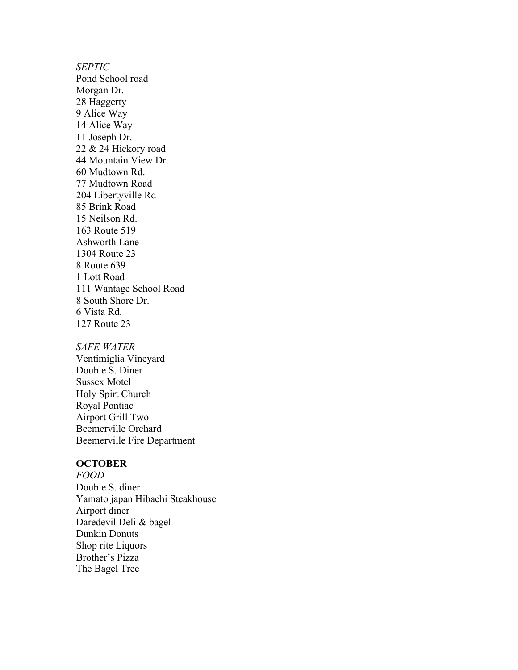*SEPTIC* Pond School road Morgan Dr. 28 Haggerty 9 Alice Way 14 Alice Way 11 Joseph Dr. 22 & 24 Hickory road 44 Mountain View Dr. 60 Mudtown Rd. 77 Mudtown Road 204 Libertyville Rd 85 Brink Road 15 Neilson Rd. 163 Route 519 Ashworth Lane 1304 Route 23 8 Route 639 1 Lott Road 111 Wantage School Road 8 South Shore Dr. 6 Vista Rd. 127 Route 23

#### *SAFE WATER*

Ventimiglia Vineyard Double S. Diner Sussex Motel Holy Spirt Church Royal Pontiac Airport Grill Two Beemerville Orchard Beemerville Fire Department

### **OCTOBER**

*FOOD* Double S. diner Yamato japan Hibachi Steakhouse Airport diner Daredevil Deli & bagel Dunkin Donuts Shop rite Liquors Brother's Pizza The Bagel Tree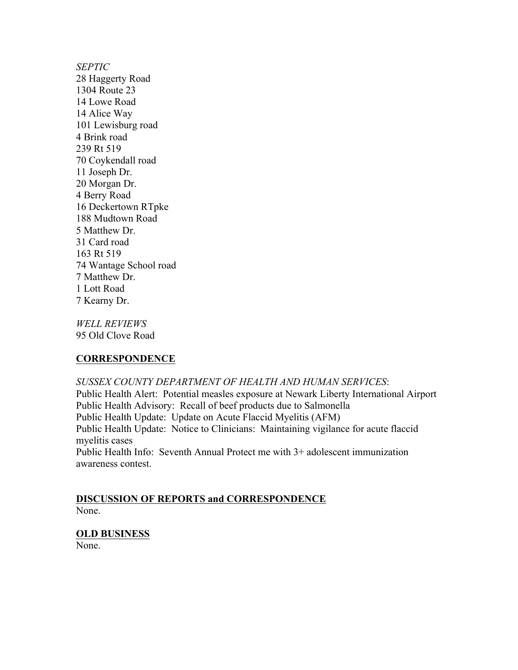*SEPTIC* 28 Haggerty Road 1304 Route 23 14 Lowe Road 14 Alice Way 101 Lewisburg road 4 Brink road 239 Rt 519 70 Coykendall road 11 Joseph Dr. 20 Morgan Dr. 4 Berry Road 16 Deckertown RTpke 188 Mudtown Road 5 Matthew Dr. 31 Card road 163 Rt 519 74 Wantage School road 7 Matthew Dr. 1 Lott Road 7 Kearny Dr.

*WELL REVIEWS* 95 Old Clove Road

## **CORRESPONDENCE**

*SUSSEX COUNTY DEPARTMENT OF HEALTH AND HUMAN SERVICES*: Public Health Alert: Potential measles exposure at Newark Liberty International Airport Public Health Advisory: Recall of beef products due to Salmonella Public Health Update: Update on Acute Flaccid Myelitis (AFM) Public Health Update: Notice to Clinicians: Maintaining vigilance for acute flaccid myelitis cases Public Health Info: Seventh Annual Protect me with 3+ adolescent immunization awareness contest.

# **DISCUSSION OF REPORTS and CORRESPONDENCE**

None.

## **OLD BUSINESS**

None.